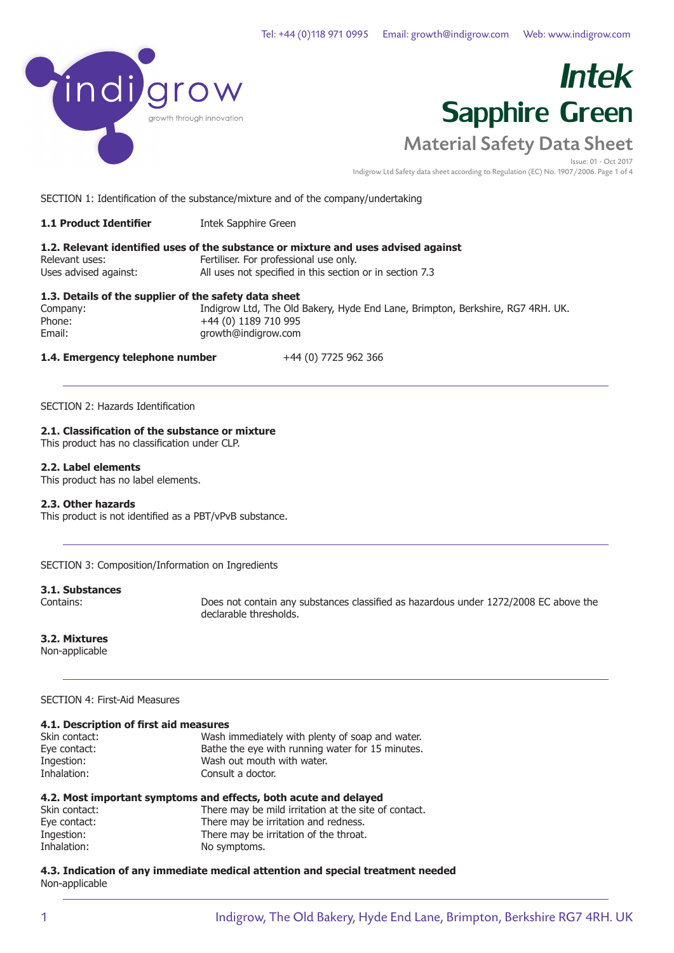

Issue: 01 - Oct 2017 Indigrow Ltd Safety data sheet according to Regulation (EC) No. 1907/2006. Page 1 of 4

SECTION 1: Identification of the substance/mixture and of the company/undertaking

**1.1 Product Identifier** Intek Sapphire Green

### **1.2. Relevant identified uses of the substance or mixture and uses advised against** Relevant uses: Fertiliser. For professional use only. Uses advised against: All uses not specified in this section or in section 7.3

### **1.3. Details of the supplier of the safety data sheet**

Company: Indigrow Ltd, The Old Bakery, Hyde End Lane, Brimpton, Berkshire, RG7 4RH. UK. Phone: +44 (0) 1189 710 995<br>Email: example arowth@indigrow.com growth@indigrow.com

### **1.4. Emergency telephone number** +44 (0) 7725 962 366

SECTION 2: Hazards Identification

### **2.1. Classification of the substance or mixture**

This product has no classification under CLP.

### **2.2. Label elements**

This product has no label elements.

### **2.3. Other hazards**

This product is not identified as a PBT/vPvB substance.

SECTION 3: Composition/Information on Ingredients

### **3.1. Substances**

Contains: Does not contain any substances classified as hazardous under 1272/2008 EC above the declarable thresholds.

### **3.2. Mixtures**

Non-applicable

### SECTION 4: First-Aid Measures

| 4.1. Description of first aid measures |  |
|----------------------------------------|--|
|                                        |  |

| Skin contact: | Wash immediately with plenty of soap and water.  |
|---------------|--------------------------------------------------|
| Eye contact:  | Bathe the eye with running water for 15 minutes. |
| Ingestion:    | Wash out mouth with water.                       |
| Inhalation:   | Consult a doctor.                                |

| 4.2. Most important symptoms and effects, both acute and delayed |  |  |
|------------------------------------------------------------------|--|--|
|------------------------------------------------------------------|--|--|

| Skin contact: | There may be mild irritation at the site of contact. |
|---------------|------------------------------------------------------|
| Eye contact:  | There may be irritation and redness.                 |
| Ingestion:    | There may be irritation of the throat.               |
| Inhalation:   | No symptoms.                                         |

### **4.3. Indication of any immediate medical attention and special treatment needed** Non-applicable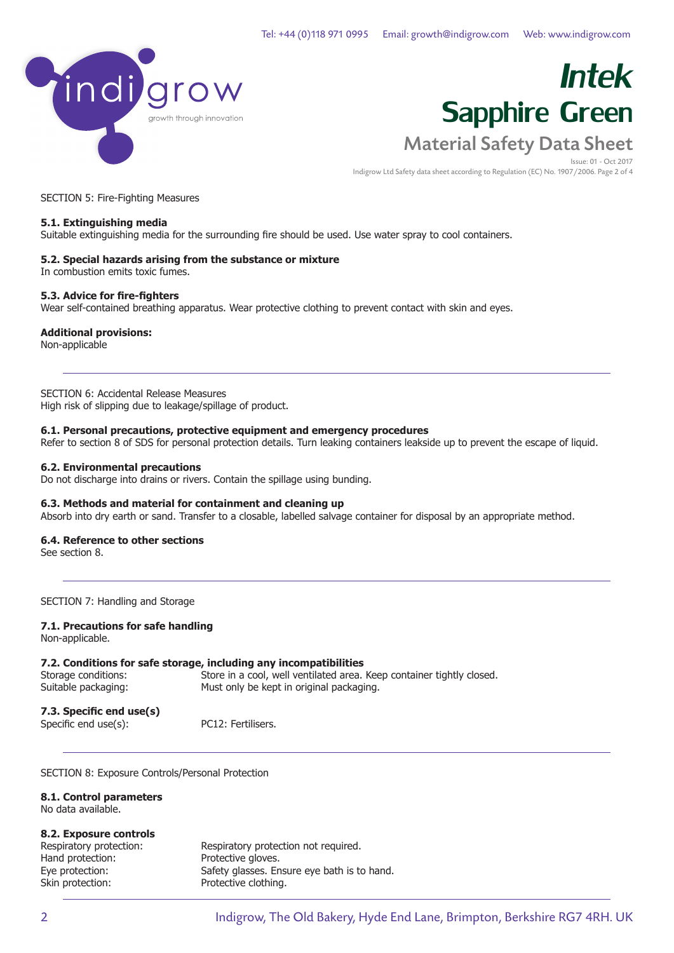

Issue: 01 - Oct 2017 Indigrow Ltd Safety data sheet according to Regulation (EC) No. 1907/2006. Page 2 of 4

SECTION 5: Fire-Fighting Measures

### **5.1. Extinguishing media**

Suitable extinguishing media for the surrounding fire should be used. Use water spray to cool containers.

### **5.2. Special hazards arising from the substance or mixture**

In combustion emits toxic fumes.

### **5.3. Advice for fire-fighters**

Wear self-contained breathing apparatus. Wear protective clothing to prevent contact with skin and eyes.

### **Additional provisions:**

Non-applicable

### SECTION 6: Accidental Release Measures

High risk of slipping due to leakage/spillage of product.

### **6.1. Personal precautions, protective equipment and emergency procedures**

Refer to section 8 of SDS for personal protection details. Turn leaking containers leakside up to prevent the escape of liquid.

### **6.2. Environmental precautions**

Do not discharge into drains or rivers. Contain the spillage using bunding.

### **6.3. Methods and material for containment and cleaning up**

Absorb into dry earth or sand. Transfer to a closable, labelled salvage container for disposal by an appropriate method.

### **6.4. Reference to other sections**

See section 8.

SECTION 7: Handling and Storage

### **7.1. Precautions for safe handling**

Non-applicable.

### **7.2. Conditions for safe storage, including any incompatibilities**

Storage conditions: Store in a cool, well ventilated area. Keep container tightly closed.<br>Suitable packaging: Must only be kept in original packaging. Must only be kept in original packaging.

**7.3. Specific end use(s)**

Specific end use(s): PC12: Fertilisers.

SECTION 8: Exposure Controls/Personal Protection

**8.1. Control parameters** No data available.

### **8.2. Exposure controls**

| Respiratory protection: | Respiratory protection not required.        |
|-------------------------|---------------------------------------------|
| Hand protection:        | Protective gloves.                          |
| Eye protection:         | Safety glasses. Ensure eye bath is to hand. |
| Skin protection:        | Protective clothing.                        |
|                         |                                             |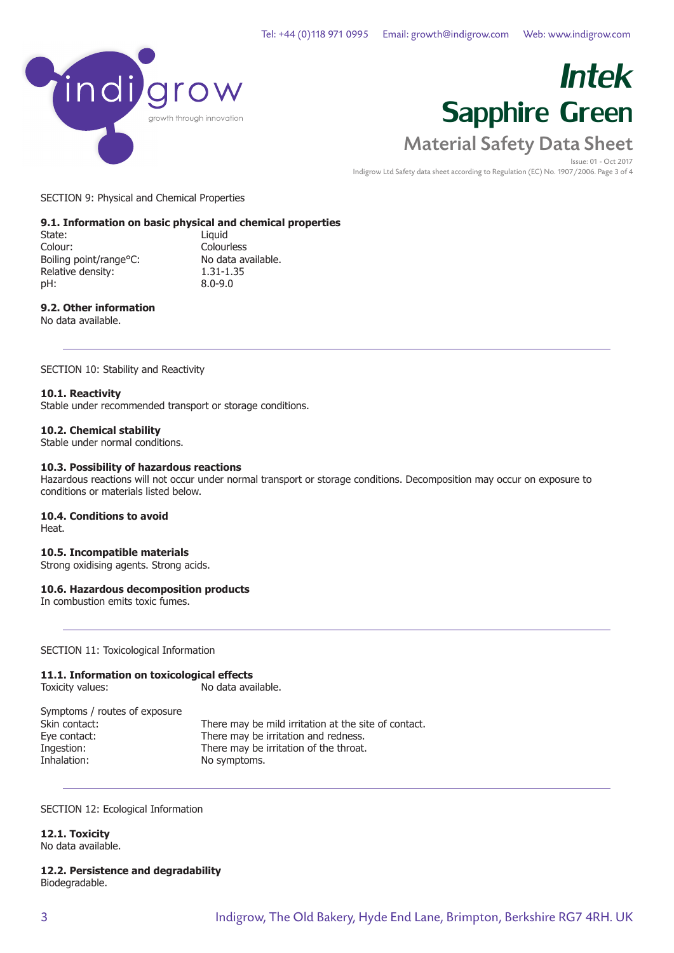

Issue: 01 - Oct 2017 Indigrow Ltd Safety data sheet according to Regulation (EC) No. 1907/2006. Page 3 of 4

SECTION 9: Physical and Chemical Properties

### **9.1. Information on basic physical and chemical properties**

State: Liquid Colour: Colourless<br>Boiling point/range°C: No data available. Boiling point/range°C: No data a<br>Relative density: 1.31-1.35 Relative density: pH: 8.0-9.0

### **9.2. Other information**

No data available.

SECTION 10: Stability and Reactivity

### **10.1. Reactivity**

Stable under recommended transport or storage conditions.

### **10.2. Chemical stability**

Stable under normal conditions.

### **10.3. Possibility of hazardous reactions**

Hazardous reactions will not occur under normal transport or storage conditions. Decomposition may occur on exposure to conditions or materials listed below.

### **10.4. Conditions to avoid**

Heat.

### **10.5. Incompatible materials**

Strong oxidising agents. Strong acids.

### **10.6. Hazardous decomposition products**

In combustion emits toxic fumes.

SECTION 11: Toxicological Information

### **11.1. Information on toxicological effects**

Toxicity values:

Symptoms / routes of exposure<br>Skin contact: There may be mild irritation at the site of contact. Eye contact: There may be irritation and redness. Ingestion: There may be irritation of the throat. Inhalation: No symptoms.

SECTION 12: Ecological Information

**12.1. Toxicity** No data available.

### **12.2. Persistence and degradability** Biodegradable.